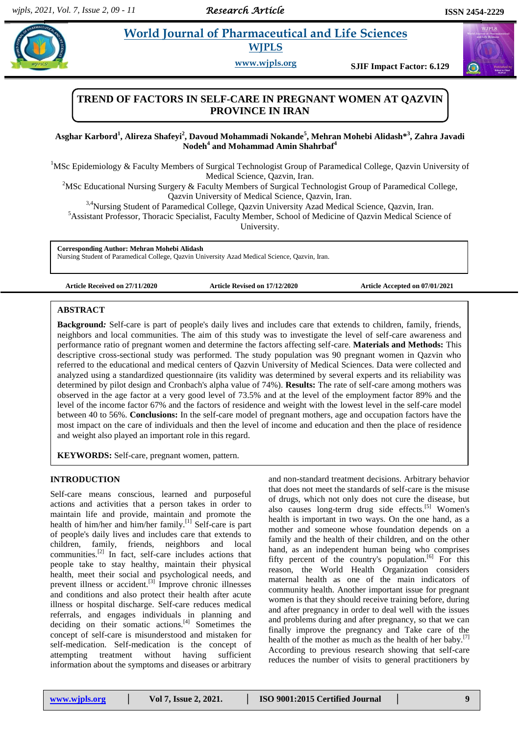# *Research Article*

 $\bigcirc$ 

# **Example 3 Example 3 Example 3 Example 3 et al. 2 Color**gian **CO World Journal of Pharmaceutical and Life Sciences WJPLS**

**www.wjpls.org SJIF Impact Factor: 6.129**

# **TREND OF FACTORS IN SELF-CARE IN PREGNANT WOMEN AT QAZVIN PROVINCE IN IRAN**

**Asghar Karbord<sup>1</sup> , Alireza Shafeyi<sup>2</sup> , Davoud Mohammadi Nokande<sup>5</sup> , Mehran Mohebi Alidash\* 3 , Zahra Javadi Nodeh<sup>4</sup> and Mohammad Amin Shahrbaf<sup>4</sup>**

<sup>1</sup>MSc Epidemiology & Faculty Members of Surgical Technologist Group of Paramedical College, Qazvin University of Medical Science, Qazvin, Iran.

<sup>2</sup>MSc Educational Nursing Surgery & Faculty Members of Surgical Technologist Group of Paramedical College, Qazvin University of Medical Science, Qazvin, Iran.

<sup>3,4</sup>Nursing Student of Paramedical College, Qazvin University Azad Medical Science, Qazvin, Iran.

<sup>5</sup>Assistant Professor, Thoracic Specialist, Faculty Member, School of Medicine of Qazvin Medical Science of University.

**Corresponding Author: Mehran Mohebi Alidash**  Nursing Student of Paramedical College, Qazvin University Azad Medical Science, Qazvin, Iran.

**Article Received on 27/11/2020 Article Revised on 17/12/2020 Article Accepted on 07/01/2021**

## **ABSTRACT**

**Background***:* Self-care is part of people's daily lives and includes care that extends to children, family, friends, neighbors and local communities. The aim of this study was to investigate the level of self-care awareness and performance ratio of pregnant women and determine the factors affecting self-care. **Materials and Methods:** This descriptive cross-sectional study was performed. The study population was 90 pregnant women in Qazvin who referred to the educational and medical centers of Qazvin University of Medical Sciences. Data were collected and analyzed using a standardized questionnaire (its validity was determined by several experts and its reliability was determined by pilot design and Cronbach's alpha value of 74%). **Results:** The rate of self-care among mothers was observed in the age factor at a very good level of 73.5% and at the level of the employment factor 89% and the level of the income factor 67% and the factors of residence and weight with the lowest level in the self-care model between 40 to 56%. **Conclusions:** In the self-care model of pregnant mothers, age and occupation factors have the most impact on the care of individuals and then the level of income and education and then the place of residence and weight also played an important role in this regard.

**KEYWORDS:** Self-care, pregnant women, pattern.

## **INTRODUCTION**

Self-care means conscious, learned and purposeful actions and activities that a person takes in order to maintain life and provide, maintain and promote the health of him/her and him/her family.<sup>[1]</sup> Self-care is part of people's daily lives and includes care that extends to children, family, friends, neighbors and local communities.[2] In fact, self-care includes actions that people take to stay healthy, maintain their physical health, meet their social and psychological needs, and prevent illness or accident.<sup>[3]</sup> Improve chronic illnesses and conditions and also protect their health after acute illness or hospital discharge. Self-care reduces medical referrals, and engages individuals in planning and deciding on their somatic actions. $[4]$  Sometimes the concept of self-care is misunderstood and mistaken for self-medication. Self-medication is the concept of attempting treatment without having sufficient information about the symptoms and diseases or arbitrary and non-standard treatment decisions. Arbitrary behavior that does not meet the standards of self-care is the misuse of drugs, which not only does not cure the disease, but also causes long-term drug side effects.<sup>[5]</sup> Women's health is important in two ways. On the one hand, as a mother and someone whose foundation depends on a family and the health of their children, and on the other hand, as an independent human being who comprises fifty percent of the country's population.  $[6]$  For this reason, the World Health Organization considers maternal health as one of the main indicators of community health. Another important issue for pregnant women is that they should receive training before, during and after pregnancy in order to deal well with the issues and problems during and after pregnancy, so that we can finally improve the pregnancy and Take care of the health of the mother as much as the health of her baby.<sup>[7]</sup> According to previous research showing that self-care reduces the number of visits to general practitioners by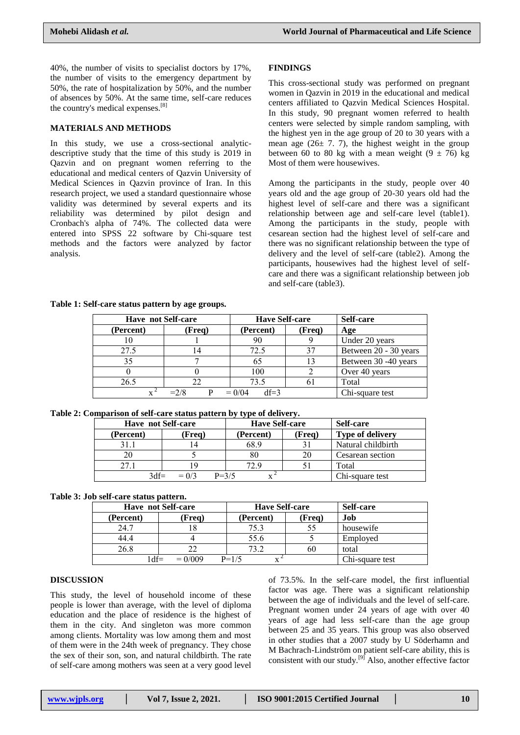40%, the number of visits to specialist doctors by 17%, the number of visits to the emergency department by 50%, the rate of hospitalization by 50%, and the number of absences by 50%. At the same time, self-care reduces the country's medical expenses.[8]

#### **MATERIALS AND METHODS**

In this study, we use a cross-sectional analyticdescriptive study that the time of this study is 2019 in Qazvin and on pregnant women referring to the educational and medical centers of Qazvin University of Medical Sciences in Qazvin province of Iran. In this research project, we used a standard questionnaire whose validity was determined by several experts and its reliability was determined by pilot design and Cronbach's alpha of 74%. The collected data were entered into SPSS 22 software by Chi-square test methods and the factors were analyzed by factor analysis.

### **FINDINGS**

This cross-sectional study was performed on pregnant women in Qazvin in 2019 in the educational and medical centers affiliated to Qazvin Medical Sciences Hospital. In this study, 90 pregnant women referred to health centers were selected by simple random sampling, with the highest yen in the age group of 20 to 30 years with a mean age  $(26± 7.7)$ , the highest weight in the group between 60 to 80 kg with a mean weight  $(9 \pm 76)$  kg Most of them were housewives.

Among the participants in the study, people over 40 years old and the age group of 20-30 years old had the highest level of self-care and there was a significant relationship between age and self-care level (table1). Among the participants in the study, people with cesarean section had the highest level of self-care and there was no significant relationship between the type of delivery and the level of self-care (table2). Among the participants, housewives had the highest level of selfcare and there was a significant relationship between job and self-care (table3).

|  | Table 1: Self-care status pattern by age groups. |
|--|--------------------------------------------------|
|--|--------------------------------------------------|

| <b>Have not Self-care</b> |        | <b>Have Self-care</b> |        | Self-care             |
|---------------------------|--------|-----------------------|--------|-----------------------|
| (Percent)                 | (Freq) | (Percent)             | (Freq) | Age                   |
| 10                        |        | 90                    |        | Under 20 years        |
| 27.5                      | 14     | 72.5                  | 37     | Between 20 - 30 years |
| 35                        |        | 65                    | 13     | Between 30 -40 years  |
|                           |        | 100                   |        | Over 40 years         |
| 26.5                      | 22.    | 73.5                  | 6 I    | Total                 |
|                           | $=2/8$ | $= 0/04$<br>$df=3$    |        | Chi-square test       |

#### **Table 2: Comparison of self-care status pattern by type of delivery.**

| <b>Have not Self-care</b> |                      | <b>Have Self-care</b> |       | <b>Self-care</b>        |
|---------------------------|----------------------|-----------------------|-------|-------------------------|
| (Percent)                 | (Freq)               | (Percent)             | (Freq | <b>Type of delivery</b> |
|                           |                      | 68.9                  |       | Natural childbirth      |
| 20                        |                      | 80                    | 20    | Cesarean section        |
| 27 1                      |                      | 72.9                  |       | Total                   |
| $3df=$                    | $P = 3/5$<br>$= 0/3$ |                       |       | Chi-square test         |

#### **Table 3: Job self-care status pattern.**

| <b>Have not Self-care</b> |           | <b>Have Self-care</b> |        | <b>Self-care</b> |
|---------------------------|-----------|-----------------------|--------|------------------|
| (Percent)                 | (Freq)    | (Percent)             | [Freq] | Job              |
| 24.7                      | ıο        | 75.3                  |        | housewife        |
| 44.4                      |           | 55.6                  |        | Employed         |
| 26.8                      | 22        |                       | 60     | total            |
| $1df =$                   | $= 0/009$ | $P = 1/5$             |        | Chi-square test  |

#### **DISCUSSION**

This study, the level of household income of these people is lower than average, with the level of diploma education and the place of residence is the highest of them in the city. And singleton was more common among clients. Mortality was low among them and most of them were in the 24th week of pregnancy. They chose the sex of their son, son, and natural childbirth. The rate of self-care among mothers was seen at a very good level of 73.5%. In the self-care model, the first influential factor was age. There was a significant relationship between the age of individuals and the level of self-care. Pregnant women under 24 years of age with over 40 years of age had less self-care than the age group between 25 and 35 years. This group was also observed in other studies that a 2007 study by U Söderhamn and M Bachrach-Lindström on patient self-care ability, this is consistent with our study.<sup>[9]</sup> Also, another effective factor